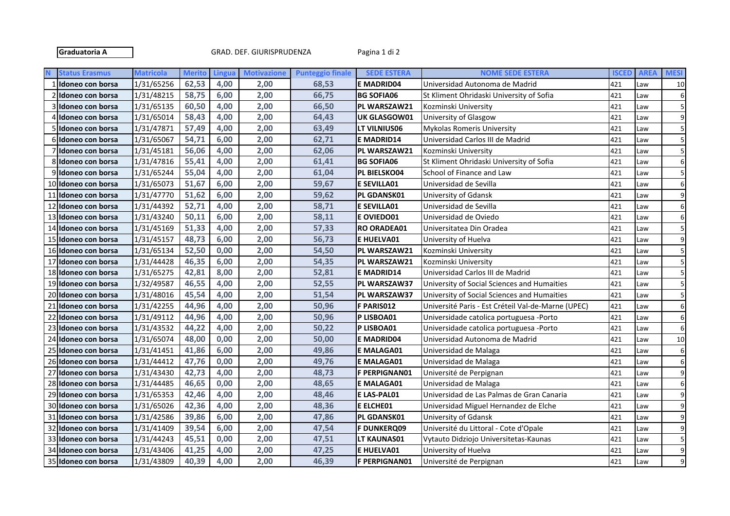Graduatoria A GRAD. DEF. GIURISPRUDENZA Pagina 1 di 2

|    | <b>Status Erasmus</b> | <b>Matricola</b> | <b>Merito</b> | Lingua | <b>Motivazione</b> | <b>Punteggio finale</b> | <b>SEDE ESTERA</b>   | <b>NOME SEDE ESTERA</b>                            | <b>ISCED</b> | <b>AREA</b> | <b>MESI</b> |
|----|-----------------------|------------------|---------------|--------|--------------------|-------------------------|----------------------|----------------------------------------------------|--------------|-------------|-------------|
|    | Idoneo con borsa      | 1/31/65256       | 62,53         | 4,00   | 2,00               | 68,53                   | <b>E MADRID04</b>    | Universidad Autonoma de Madrid                     | 421          | Law         | 10          |
|    | Ildoneo con borsa     | 1/31/48215       | 58,75         | 6,00   | 2,00               | 66,75                   | <b>BG SOFIA06</b>    | St Kliment Ohridaski University of Sofia           | 421          | Law         | 6           |
|    | Ildoneo con borsa     | 1/31/65135       | 60,50         | 4,00   | 2,00               | 66,50                   | PL WARSZAW21         | Kozminski University                               | 421          | Law         |             |
|    | Idoneo con borsa      | 1/31/65014       | 58,43         | 4,00   | 2,00               | 64,43                   | UK GLASGOW01         | University of Glasgow                              | 421          | Law         | 9           |
|    | Idoneo con borsa      | 1/31/47871       | 57,49         | 4,00   | 2,00               | 63,49                   | LT VILNIUS06         | <b>Mykolas Romeris University</b>                  | 421          | Law         | 5           |
|    | Idoneo con borsa      | 1/31/65067       | 54,71         | 6,00   | 2,00               | 62,71                   | E MADRID14           | Universidad Carlos III de Madrid                   | 421          | Law         | 5           |
|    | Idoneo con borsa      | 1/31/45181       | 56,06         | 4,00   | 2,00               | 62,06                   | PL WARSZAW21         | Kozminski University                               | 421          | Law         | 5           |
| 8  | Idoneo con borsa      | 1/31/47816       | 55,41         | 4,00   | 2,00               | 61,41                   | <b>BG SOFIA06</b>    | St Kliment Ohridaski University of Sofia           | 421          | Law         | 6           |
|    | 9 Idoneo con borsa    | 1/31/65244       | 55,04         | 4,00   | 2,00               | 61,04                   | PL BIELSKO04         | School of Finance and Law                          | 421          | Law         |             |
|    | 10 Idoneo con borsa   | 1/31/65073       | 51,67         | 6,00   | 2,00               | 59,67                   | <b>E SEVILLA01</b>   | Universidad de Sevilla                             | 421          | Law         | 6           |
|    | 11 Idoneo con borsa   | 1/31/47770       | 51,62         | 6,00   | 2,00               | 59,62                   | PL GDANSK01          | University of Gdansk                               | 421          | Law         | 9           |
|    | 12 Idoneo con borsa   | 1/31/44392       | 52,71         | 4,00   | 2,00               | 58,71                   | <b>E SEVILLA01</b>   | Universidad de Sevilla                             | 421          | Law         | 6           |
| 13 | Idoneo con borsa      | 1/31/43240       | 50,11         | 6,00   | 2,00               | 58,11                   | E OVIEDO01           | Universidad de Oviedo                              | 421          | Law         | 6           |
| 14 | Idoneo con borsa      | 1/31/45169       | 51,33         | 4,00   | 2,00               | 57,33                   | <b>RO ORADEA01</b>   | Universitatea Din Oradea                           | 421          | Law         |             |
| 15 | Idoneo con borsa      | 1/31/45157       | 48,73         | 6,00   | 2,00               | 56,73                   | E HUELVA01           | University of Huelva                               | 421          | Law         |             |
|    | 16 Idoneo con borsa   | 1/31/65134       | 52,50         | 0,00   | 2,00               | 54,50                   | PL WARSZAW21         | Kozminski University                               | 421          | Law         |             |
| 17 | lIdoneo con borsa     | 1/31/44428       | 46,35         | 6,00   | 2,00               | 54,35                   | PL WARSZAW21         | Kozminski University                               | 421          | Law         |             |
|    | 18 Idoneo con borsa   | 1/31/65275       | 42,81         | 8,00   | 2,00               | 52,81                   | E MADRID14           | Universidad Carlos III de Madrid                   | 421          | Law         |             |
|    | 19 Idoneo con borsa   | 1/32/49587       | 46,55         | 4,00   | 2,00               | 52,55                   | PL WARSZAW37         | University of Social Sciences and Humaities        | 421          | Law         | 5           |
|    | 20 Idoneo con borsa   | 1/31/48016       | 45,54         | 4,00   | 2,00               | 51,54                   | PL WARSZAW37         | University of Social Sciences and Humaities        | 421          | Law         | 5           |
| 21 | Idoneo con borsa      | 1/31/42255       | 44,96         | 4,00   | 2,00               | 50,96                   | F PARIS012           | Université Paris - Est Créteil Val-de-Marne (UPEC) | 421          | Law         | 6           |
| 22 | Idoneo con borsa      | 1/31/49112       | 44,96         | 4,00   | 2,00               | 50,96                   | P LISBOA01           | Universidade catolica portuguesa -Porto            | 421          | Law         | 6           |
|    | 23 Idoneo con borsa   | 1/31/43532       | 44,22         | 4,00   | 2,00               | 50,22                   | P LISBOA01           | Universidade catolica portuguesa -Porto            | 421          | Law         | 6           |
|    | 24 Idoneo con borsa   | 1/31/65074       | 48,00         | 0,00   | 2,00               | 50,00                   | E MADRID04           | Universidad Autonoma de Madrid                     | 421          | Law         | 10          |
|    | 25 Idoneo con borsa   | 1/31/41451       | 41,86         | 6,00   | 2,00               | 49,86                   | E MALAGA01           | Universidad de Malaga                              | 421          | Law         | 6           |
|    | 26 Idoneo con borsa   | 1/31/44412       | 47,76         | 0,00   | 2,00               | 49,76                   | E MALAGA01           | Universidad de Malaga                              | 421          | Law         | 6           |
| 27 | Idoneo con borsa      | 1/31/43430       | 42,73         | 4,00   | 2,00               | 48,73                   | <b>F PERPIGNAN01</b> | Université de Perpignan                            | 421          | Law         | 9           |
| 28 | Idoneo con borsa      | 1/31/44485       | 46,65         | 0,00   | 2,00               | 48,65                   | <b>E MALAGA01</b>    | Universidad de Malaga                              | 421          | Law         | 6           |
| 29 | Idoneo con borsa      | 1/31/65353       | 42,46         | 4,00   | 2,00               | 48,46                   | E LAS-PAL01          | Universidad de Las Palmas de Gran Canaria          | 421          | Law         | 9           |
|    | 30 Ildoneo con borsa  | 1/31/65026       | 42,36         | 4,00   | 2,00               | 48,36                   | E ELCHE01            | Universidad Miguel Hernandez de Elche              | 421          | Law         | 9           |
|    | 31 Idoneo con borsa   | 1/31/42586       | 39,86         | 6,00   | 2,00               | 47,86                   | PL GDANSK01          | University of Gdansk                               | 421          | Law         | 9           |
| 32 | Idoneo con borsa      | 1/31/41409       | 39,54         | 6,00   | 2,00               | 47,54                   | <b>F DUNKERQ09</b>   | Université du Littoral - Cote d'Opale              | 421          | Law         | 9           |
| 33 | Idoneo con borsa      | 1/31/44243       | 45,51         | 0,00   | 2,00               | 47,51                   | LT KAUNAS01          | Vytauto Didziojo Universitetas-Kaunas              | 421          | Law         | 5           |
| 34 | Idoneo con borsa      | 1/31/43406       | 41,25         | 4,00   | 2,00               | 47,25                   | E HUELVA01           | University of Huelva                               | 421          | Law         | 9           |
|    | 35 Idoneo con borsa   | 1/31/43809       | 40,39         | 4,00   | 2,00               | 46,39                   | <b>F PERPIGNAN01</b> | Université de Perpignan                            | 421          | Law         | 9           |